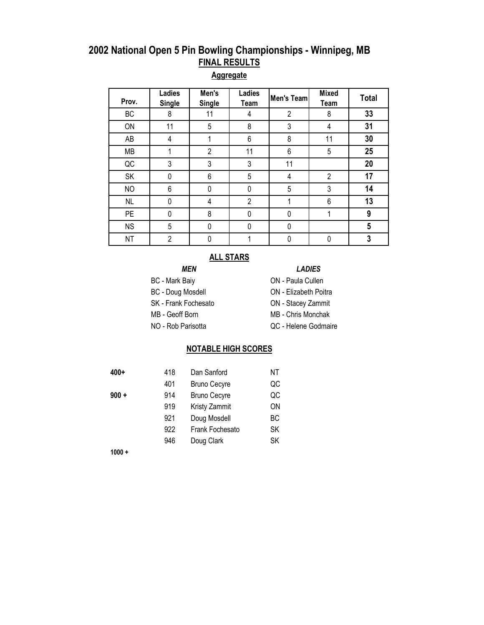#### **Aggregate**

| Prov.     | Ladies<br><b>Single</b> | Men's<br><b>Single</b> | <b>Ladies</b><br>Team | Men's Team     | <b>Mixed</b><br>Team | <b>Total</b> |
|-----------|-------------------------|------------------------|-----------------------|----------------|----------------------|--------------|
| BC        | 8                       | 11                     | 4                     | $\overline{2}$ | 8                    | 33           |
| ON        | 11                      | 5                      | 8                     | 3              | 4                    | 31           |
| AB        | 4                       |                        | 6                     | 8              | 11                   | 30           |
| <b>MB</b> |                         | $\overline{2}$         | 11                    | $\,6\,$        | 5                    | 25           |
| QC        | 3                       | 3                      | 3                     | 11             |                      | 20           |
| SK        | 0                       | 6                      | 5                     | 4              | $\overline{2}$       | 17           |
| <b>NO</b> | 6                       | 0                      | 0                     | 5              | 3                    | 14           |
| NL        | 0                       | 4                      | $\overline{2}$        |                | 6                    | 13           |
| <b>PE</b> | 0                       | 8                      | 0                     | 0              |                      | 9            |
| <b>NS</b> | 5                       | 0                      | 0                     | 0              |                      | 5            |
| <b>NT</b> | $\overline{2}$          | 0                      |                       | 0              | 0                    | 3            |

#### **ALL STARS**

#### *MEN LADIES*

- BC Mark Baiy **ON Paula Cullen**
- BC Doug Mosdell **ON** Elizabeth Poitra
- SK Frank Fochesato **ON** Stacey Zammit
- MB Geoff Born MB Chris Monchak
- 
- 
- 
- 
- NO Rob Parisotta QC Helene Godmaire

#### **NOTABLE HIGH SCORES**

|--|--|

| 400+  | 418 | Dan Sanford         | ΝT |
|-------|-----|---------------------|----|
|       | 401 | <b>Bruno Cecyre</b> | QC |
| 900 + | 914 | <b>Bruno Cecyre</b> | QC |
|       | 919 | Kristy Zammit       | ΟN |
|       | 921 | Doug Mosdell        | ВC |
|       | 922 | Frank Fochesato     | SK |
|       | 946 | Doug Clark          | SK |

**1000 +**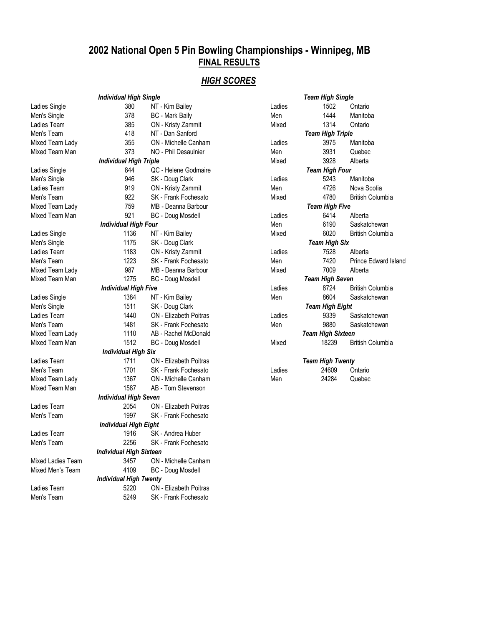#### *HIGH SCORES*

|                   | <b>Individual High Single</b>  |                               | <b>Team High Single</b> |                          |                         |  |
|-------------------|--------------------------------|-------------------------------|-------------------------|--------------------------|-------------------------|--|
| Ladies Single     | 380                            | NT - Kim Bailey               | Ladies                  | 1502                     | Ontario                 |  |
| Men's Single      | 378                            | <b>BC</b> - Mark Baily        | Men                     | 1444                     | Manitoba                |  |
| Ladies Team       | 385                            | ON - Kristy Zammit            | Mixed                   | 1314                     | Ontario                 |  |
| Men's Team        | 418                            | NT - Dan Sanford              |                         | <b>Team High Triple</b>  |                         |  |
| Mixed Team Lady   | 355                            | ON - Michelle Canham          | Ladies                  | 3975                     | Manitoba                |  |
| Mixed Team Man    | 373                            | NO - Phil Desaulnier          | Men                     | 3931                     | Quebec                  |  |
|                   | <b>Individual High Triple</b>  |                               | Mixed                   | 3928                     | Alberta                 |  |
| Ladies Single     | 844                            | QC - Helene Godmaire          |                         | <b>Team High Four</b>    |                         |  |
| Men's Single      | 946                            | SK - Doug Clark               | Ladies                  | 5243                     | Manitoba                |  |
| Ladies Team       | 919                            | ON - Kristy Zammit            | Men                     | 4726                     | Nova Scotia             |  |
| Men's Team        | 922                            | SK - Frank Fochesato          | Mixed                   | 4780                     | <b>British Columbia</b> |  |
| Mixed Team Lady   | 759                            | MB - Deanna Barbour           |                         | <b>Team High Five</b>    |                         |  |
| Mixed Team Man    | 921                            | <b>BC</b> - Doug Mosdell      | Ladies                  | 6414                     | Alberta                 |  |
|                   | <b>Individual High Four</b>    |                               | Men                     | 6190                     | Saskatchewan            |  |
| Ladies Single     | 1136                           | NT - Kim Bailey               | Mixed                   | 6020                     | <b>British Columbia</b> |  |
| Men's Single      | 1175                           | SK - Doug Clark               |                         | <b>Team High Six</b>     |                         |  |
| Ladies Team       | 1183                           | ON - Kristy Zammit            | Ladies                  | 7528                     | Alberta                 |  |
| Men's Team        | 1223                           | SK - Frank Fochesato          | Men                     | 7420                     | Prince Edward Island    |  |
| Mixed Team Lady   | 987                            | MB - Deanna Barbour           | Mixed                   | 7009                     | Alberta                 |  |
| Mixed Team Man    | 1275                           | <b>BC</b> - Doug Mosdell      |                         | <b>Team High Seven</b>   |                         |  |
|                   | <b>Individual High Five</b>    |                               | Ladies                  | 8724                     | <b>British Columbia</b> |  |
| Ladies Single     | 1384                           | NT - Kim Bailey               | Men                     | 8604                     | Saskatchewan            |  |
| Men's Single      | 1511                           | SK - Doug Clark               |                         | <b>Team High Eight</b>   |                         |  |
| Ladies Team       | 1440                           | <b>ON</b> - Elizabeth Poitras | Ladies                  | 9339                     | Saskatchewan            |  |
| Men's Team        | 1481                           | SK - Frank Fochesato          | Men                     | 9880                     | Saskatchewan            |  |
| Mixed Team Lady   | 1110                           | AB - Rachel McDonald          |                         | <b>Team High Sixteen</b> |                         |  |
| Mixed Team Man    | 1512                           | <b>BC</b> - Doug Mosdell      | Mixed                   | 18239                    | <b>British Columbia</b> |  |
|                   | <b>Individual High Six</b>     |                               |                         |                          |                         |  |
| Ladies Team       | 1711                           | ON - Elizabeth Poitras        |                         | <b>Team High Twenty</b>  |                         |  |
| Men's Team        | 1701                           | SK - Frank Fochesato          | Ladies                  | 24609                    | Ontario                 |  |
| Mixed Team Lady   | 1367                           | ON - Michelle Canham          | Men                     | 24284                    | Quebec                  |  |
| Mixed Team Man    | 1587                           | AB - Tom Stevenson            |                         |                          |                         |  |
|                   | <b>Individual High Seven</b>   |                               |                         |                          |                         |  |
| Ladies Team       | 2054                           | <b>ON</b> - Elizabeth Poitras |                         |                          |                         |  |
| Men's Team        | 1997                           | SK - Frank Fochesato          |                         |                          |                         |  |
|                   | <b>Individual High Eight</b>   |                               |                         |                          |                         |  |
| Ladies Team       | 1916                           | SK - Andrea Huber             |                         |                          |                         |  |
| Men's Team        | 2256                           | SK - Frank Fochesato          |                         |                          |                         |  |
|                   | <b>Individual High Sixteen</b> |                               |                         |                          |                         |  |
| Mixed Ladies Team | 3457                           | ON - Michelle Canham          |                         |                          |                         |  |
| Mixed Men's Team  | 4109                           | <b>BC</b> - Doug Mosdell      |                         |                          |                         |  |
|                   | <b>Individual High Twenty</b>  |                               |                         |                          |                         |  |
| Ladies Team       | 5220                           | <b>ON</b> - Elizabeth Poitras |                         |                          |                         |  |
| Men's Team        | 5249                           | SK - Frank Fochesato          |                         |                          |                         |  |

|        | <b>Team High Single</b> |                           |
|--------|-------------------------|---------------------------|
| Ladies |                         | 1502 Ontario              |
| Men    |                         | 1444 Manitoba             |
| Mixed  | 1314                    | Ontario                   |
|        | <b>Team High Triple</b> |                           |
| Ladies | 3975                    | Manitoba                  |
| Men    | 3931                    | Quebec                    |
| Mixed  | 3928                    | Alberta                   |
|        | <b>Team High Four</b>   |                           |
| Ladies |                         | 5243 Manitoba             |
| Men    |                         | 4726 Nova Scotia          |
| Mixed  | 4780 —                  | <b>British Columbia</b>   |
|        | <b>Team High Five</b>   |                           |
| Ladies |                         | 6414 Alberta              |
| Men    |                         | 6190 Saskatchewan         |
| Mixed  |                         | 6020 British Columbia     |
|        | <b>Team High Six</b>    |                           |
| Ladies |                         | 7528 Alberta              |
| Men    |                         | 7420 Prince Edward Island |
| Mixed  | 7009                    | Alberta                   |
|        | Team High Seven         |                           |
| Ladies |                         | 8724 British Columbia     |
| Men    | 8604                    | Saskatchewan              |
|        | <b>Team High Eight</b>  |                           |
| Ladies |                         | 9339 Saskatchewan         |
| Men    | 9880 — 198              | Saskatchewan              |
|        | Team High Sixteen       |                           |
| Mixed  | 18239                   | <b>British Columbia</b>   |
|        |                         |                           |
|        | <b>Team High Twenty</b> |                           |
| Ladies | 24609                   | Ontario                   |
| Man    |                         | 24284 Ouebec              |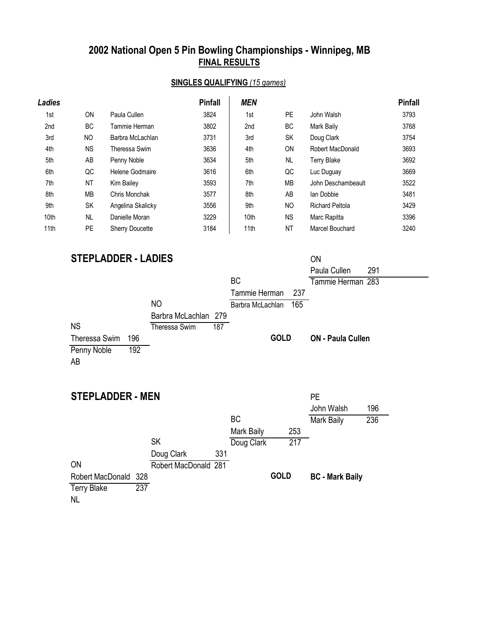## **SINGLES QUALIFYING** *(15 games)*

| Ladies |           |                        | <b>Pinfall</b> | <b>MEN</b> |           |                        | <b>Pinfall</b> |
|--------|-----------|------------------------|----------------|------------|-----------|------------------------|----------------|
| 1st    | ON        | Paula Cullen           | 3824           | 1st        | PE.       | John Walsh             | 3793           |
| 2nd    | ВC        | Tammie Herman          | 3802           | 2nd        | BC.       | Mark Baily             | 3768           |
| 3rd    | NO        | Barbra McLachlan       | 3731           | 3rd        | <b>SK</b> | Doug Clark             | 3754           |
| 4th    | <b>NS</b> | Theressa Swim          | 3636           | 4th        | <b>ON</b> | Robert MacDonald       | 3693           |
| 5th    | AB        | Penny Noble            | 3634           | 5th        | <b>NL</b> | <b>Terry Blake</b>     | 3692           |
| 6th    | QC        | Helene Godmaire        | 3616           | 6th        | QC        | Luc Duguay             | 3669           |
| 7th    | <b>NT</b> | Kim Bailey             | 3593           | 7th        | <b>MB</b> | John Deschambeault     | 3522           |
| 8th    | MB        | Chris Monchak          | 3577           | 8th        | AB        | Ian Dobbie             | 3481           |
| 9th    | SK        | Angelina Skalicky      | 3556           | 9th        | <b>NO</b> | <b>Richard Peltola</b> | 3429           |
| 10th   | <b>NL</b> | Danielle Moran         | 3229           | 10th       | <b>NS</b> | Marc Rapitta           | 3396           |
| 11th   | <b>PE</b> | <b>Sherry Doucette</b> | 3184           | 11th       | <b>NT</b> | Marcel Bouchard        | 3240           |

## **STEPLADDER - LADIES** ON

|                         |     |                      |     |                  |             | Paula Cullen             | 291 |
|-------------------------|-----|----------------------|-----|------------------|-------------|--------------------------|-----|
|                         |     |                      |     | <b>BC</b>        |             | Tammie Herman 283        |     |
|                         |     |                      |     | Tammie Herman    | 237         |                          |     |
|                         |     | N <sub>O</sub>       |     | Barbra McLachlan | 165         |                          |     |
|                         |     | Barbra McLachlan 279 |     |                  |             |                          |     |
| <b>NS</b>               |     | Theressa Swim        | 187 |                  |             |                          |     |
| Theressa Swim           | 196 |                      |     |                  | <b>GOLD</b> | <b>ON - Paula Cullen</b> |     |
| Penny Noble             | 192 |                      |     |                  |             |                          |     |
| AB                      |     |                      |     |                  |             |                          |     |
|                         |     |                      |     |                  |             |                          |     |
|                         |     |                      |     |                  |             |                          |     |
| <b>STEPLADDER - MEN</b> |     |                      |     |                  |             | <b>PE</b>                |     |
|                         |     |                      |     |                  |             | John Walsh               | 196 |
|                         |     |                      |     | <b>BC</b>        |             | Mark Baily               | 236 |
|                         |     |                      |     | Mark Baily       | 253         |                          |     |
|                         |     | <b>SK</b>            |     | Doug Clark       | 217         |                          |     |
|                         |     | Doug Clark           | 331 |                  |             |                          |     |
| ON                      |     | Robert MacDonald     | 281 |                  |             |                          |     |

**GOLD**

**BC - Mark Baily**

Robert MacDonald 328 Terry Blake 237

NL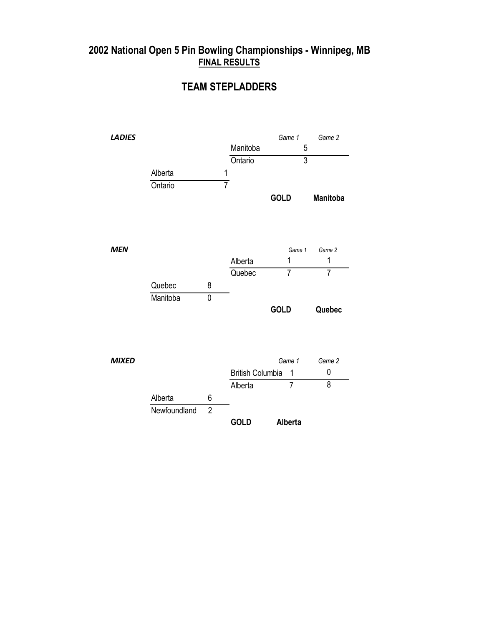### **TEAM STEPLADDERS**

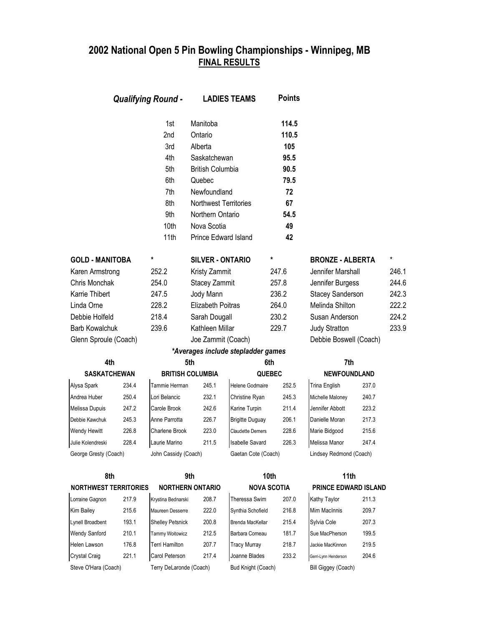| <b>Qualifying Round -</b>    |       | <b>LADIES TEAMS</b>     |                                | <b>Points</b>                      |                         |                         |                        |               |
|------------------------------|-------|-------------------------|--------------------------------|------------------------------------|-------------------------|-------------------------|------------------------|---------------|
|                              |       | 1st<br>2nd<br>3rd       | Manitoba<br>Ontario<br>Alberta |                                    | 114.5<br>110.5<br>105   |                         |                        |               |
|                              |       | 4th                     | Saskatchewan                   |                                    | 95.5                    |                         |                        |               |
|                              |       | 5th                     | <b>British Columbia</b>        |                                    | 90.5                    |                         |                        |               |
|                              |       | 6th                     | Quebec                         |                                    | 79.5                    |                         |                        |               |
|                              |       | 7th                     | Newfoundland                   |                                    | 72                      |                         |                        |               |
|                              |       | 8th                     | Northwest Territories          |                                    | 67                      |                         |                        |               |
|                              |       | 9th                     | Northern Ontario               |                                    | 54.5                    |                         |                        |               |
|                              |       | 10th                    | Nova Scotia                    |                                    | 49                      |                         |                        |               |
|                              |       | 11th                    | Prince Edward Island           |                                    | 42                      |                         |                        |               |
| <b>GOLD - MANITOBA</b>       |       | $\ast$                  | <b>SILVER - ONTARIO</b>        |                                    | $\star$                 | <b>BRONZE - ALBERTA</b> |                        | $\pmb{\star}$ |
| Karen Armstrong              |       | 252.2                   | Kristy Zammit                  |                                    | 247.6                   | Jennifer Marshall       |                        | 246.1         |
| Chris Monchak                |       | 254.0                   | Stacey Zammit                  |                                    | 257.8                   | Jennifer Burgess        |                        | 244.6         |
| Karrie Thibert<br>247.5      |       | Jody Mann               |                                | 236.2                              | <b>Stacey Sanderson</b> |                         | 242.3                  |               |
| Linda Orne<br>228.2          |       | Elizabeth Poitras       |                                | 264.0                              | Melinda Shilton         |                         | 222.2                  |               |
| 218.4<br>Debbie Holfeld      |       | Sarah Dougall           |                                | 230.2                              | Susan Anderson          |                         | 224.2                  |               |
| <b>Barb Kowalchuk</b>        |       | 239.6                   | Kathleen Millar                |                                    | 229.7                   | <b>Judy Stratton</b>    |                        | 233.9         |
| Glenn Sproule (Coach)        |       |                         | Joe Zammit (Coach)             |                                    |                         |                         | Debbie Boswell (Coach) |               |
|                              |       |                         |                                | *Averages include stepladder games |                         |                         |                        |               |
| 4th                          |       |                         | 5th                            |                                    | 6th                     | 7th                     |                        |               |
| <b>SASKATCHEWAN</b>          |       |                         | <b>BRITISH COLUMBIA</b>        |                                    | <b>QUEBEC</b>           | <b>NEWFOUNDLAND</b>     |                        |               |
| Alysa Spark                  | 234.4 | Tammie Herman           | 245.1                          | <b>Helene Godmaire</b>             | 252.5                   | Trina English           | 237.0                  |               |
| Andrea Huber                 | 250.4 | Lori Belancic           | 232.1                          | Christine Ryan                     | 245.3                   | Michelle Maloney        | 240.7                  |               |
| Melissa Dupuis               | 247.2 | Carole Brook            | 242.6                          | Karine Turpin                      | 211.4                   | Jennifer Abbott         | 223.2                  |               |
| Debbie Kawchuk               | 245.3 | Anne Parrotta           | 226.7                          | <b>Brigitte Duguay</b>             | 206.1                   | Danielle Moran          | 217.3                  |               |
| <b>Wendy Hewitt</b>          | 226.8 | Charlene Brook          | 223.0                          | <b>Claudette Demers</b>            | 228.6                   | Marie Bidgood           | 215.6                  |               |
| Julie Kolendreski            | 228.4 | Laurie Marino           | 211.5                          | <b>Isabelle Savard</b>             | 226.3                   | Melissa Manor           | 247.4                  |               |
| George Gresty (Coach)        |       | John Cassidy (Coach)    |                                | Gaetan Cote (Coach)                |                         | Lindsey Redmond (Coach) |                        |               |
| 8th                          |       |                         | 9th                            |                                    | 10th                    | 11th                    |                        |               |
| <b>NORTHWEST TERRITORIES</b> |       |                         | <b>NORTHERN ONTARIO</b>        |                                    | <b>NOVA SCOTIA</b>      | PRINCE EDWARD ISLAND    |                        |               |
| Lorraine Gagnon              | 217.9 | Krystina Bednarski      | 208.7                          | Theressa Swim                      | 207.0                   | Kathy Taylor            | 211.3                  |               |
| Kim Bailey                   | 215.6 | Maureen Desserre        | 222.0                          | Synthia Schofield                  | 216.8                   | Mim MacInnis            | 209.7                  |               |
| Lynell Broadbent             | 193.1 | <b>Shelley Petsnick</b> | 200.8                          | Brenda MacKellar                   | 215.4                   | Sylvia Cole             | 207.3                  |               |
| <b>Wendy Sanford</b>         | 210.1 | Tammy Woitowicz         | 212.5                          | Barbara Comeau                     | 181.7                   | Sue MacPherson          | 199.5                  |               |
| Helen Lawson                 | 176.8 | Terri Hamilton          | 207.7                          | Tracy Murray                       | 218.7                   | Jackie MacKinnon        | 219.5                  |               |
| <b>Crystal Craig</b>         | 221.1 | Carol Peterson          | 217.4                          | Joanne Blades                      | 233.2                   | Gerri-Lynn Henderson    | 204.6                  |               |
| Steve O'Hara (Coach)         |       | Terry DeLaronde (Coach) |                                | Bud Knight (Coach)                 |                         | Bill Giggey (Coach)     |                        |               |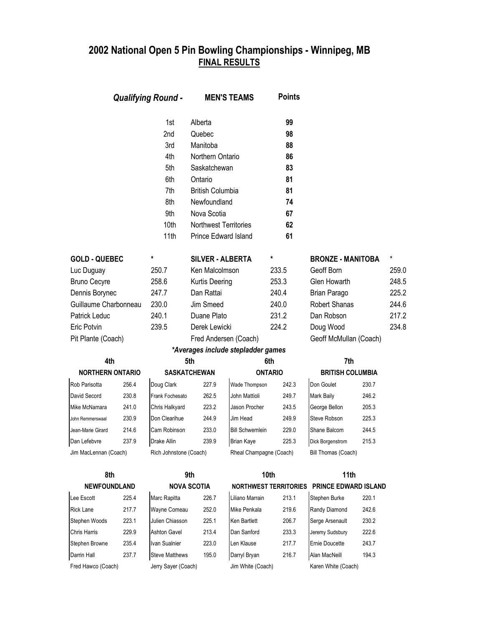| <b>Qualifying Round -</b> |       | <b>MEN'S TEAMS</b>     |                                       | <b>Points</b>                      |                              |                          |       |          |
|---------------------------|-------|------------------------|---------------------------------------|------------------------------------|------------------------------|--------------------------|-------|----------|
|                           |       | 1st                    | Alberta                               |                                    | 99                           |                          |       |          |
|                           |       | 2nd                    | Quebec                                |                                    | 98                           |                          |       |          |
|                           |       | 3rd                    | Manitoba                              |                                    | 88                           |                          |       |          |
|                           |       | 4th                    | Northern Ontario                      |                                    | 86                           |                          |       |          |
|                           |       | 5th                    | Saskatchewan                          |                                    | 83                           |                          |       |          |
|                           |       | 6th                    | Ontario                               |                                    | 81                           |                          |       |          |
|                           |       | 7th                    | <b>British Columbia</b>               |                                    | 81                           |                          |       |          |
|                           |       | 8th                    | Newfoundland                          |                                    | 74                           |                          |       |          |
|                           |       | 9th                    | Nova Scotia                           |                                    | 67                           |                          |       |          |
|                           |       | 10th                   | <b>Northwest Territories</b>          |                                    | 62                           |                          |       |          |
|                           |       | 11th                   | <b>Prince Edward Island</b>           |                                    | 61                           |                          |       |          |
| <b>GOLD - QUEBEC</b>      |       | *                      | <b>SILVER - ALBERTA</b>               |                                    | *                            | <b>BRONZE - MANITOBA</b> |       | $^\star$ |
| Luc Duguay                |       | 250.7                  | Ken Malcolmson                        |                                    | 233.5                        | Geoff Born               |       | 259.0    |
| <b>Bruno Cecyre</b>       |       | 258.6                  | Kurtis Deering                        |                                    | 253.3                        | Glen Howarth             |       | 248.5    |
| Dennis Borynec            |       | 247.7                  | Dan Rattai                            |                                    | 240.4                        | Brian Parago             |       | 225.2    |
| Guillaume Charbonneau     |       | 230.0                  | Jim Smeed                             |                                    | 240.0                        | Robert Shanas            |       | 244.6    |
| 240.1<br>Patrick Leduc    |       | Duane Plato            |                                       | 231.2                              | Dan Robson                   |                          | 217.2 |          |
| 239.5<br>Eric Potvin      |       | Derek Lewicki          |                                       | 224.2                              | Doug Wood                    |                          | 234.8 |          |
| Pit Plante (Coach)        |       |                        | Fred Andersen (Coach)                 |                                    |                              | Geoff McMullan (Coach)   |       |          |
|                           |       |                        |                                       | *Averages include stepladder games |                              |                          |       |          |
| 4th                       |       |                        | 5th                                   |                                    | 6th                          | 7th                      |       |          |
| <b>NORTHERN ONTARIO</b>   |       |                        | <b>SASKATCHEWAN</b><br><b>ONTARIO</b> |                                    |                              | <b>BRITISH COLUMBIA</b>  |       |          |
| Rob Parisotta             | 256.4 | Doug Clark             | 227.9                                 | Wade Thompson                      | 242.3                        | Don Goulet               | 230.7 |          |
| David Secord              | 230.8 | Frank Fochesato        | 262.5                                 | John Mattioli                      | 249.7                        | <b>Mark Baily</b>        | 246.2 |          |
| Mike McNamara             | 241.0 | Chris Halkyard         | 223.2                                 | Jason Procher                      | 243.5                        | George Bellon            | 205.3 |          |
| John Remmerswaal          | 230.9 | Don Clearihue          | 244.9                                 | Jim Head                           | 249.9                        | Steve Robson             | 225.3 |          |
| Jean-Marie Girard         | 214.6 | Cam Robinson           | 233.0                                 | <b>Bill Schwemlein</b>             | 229.0                        | Shane Balcom             | 244.5 |          |
| Dan Lefebvre              | 237.9 | Drake Allin            | 239.9                                 | <b>Brian Kaye</b>                  | 225.3                        | Dick Borgenstrom         | 215.3 |          |
| Jim MacLennan (Coach)     |       | Rich Johnstone (Coach) |                                       | Rheal Champagne (Coach)            |                              | Bill Thomas (Coach)      |       |          |
| 8th                       |       |                        | 9th                                   |                                    | 10th                         | 11th                     |       |          |
| <b>NEWFOUNDLAND</b>       |       |                        | <b>NOVA SCOTIA</b>                    |                                    | <b>NORTHWEST TERRITORIES</b> | PRINCE EDWARD ISLAND     |       |          |
| Lee Escott                | 225.4 | Marc Rapitta           | 226.7                                 | Liliano Marrain                    | 213.1                        | Stephen Burke            | 220.1 |          |
| Rick Lane                 | 217.7 | Wayne Comeau           | 252.0                                 | Mike Penkala                       | 219.6                        | Randy Diamond            | 242.6 |          |
| Stephen Woods             | 223.1 | Julien Chiasson        | 225.1                                 | Ken Bartlett                       | 206.7                        | Serge Arsenault          | 230.2 |          |
| Chris Harris              | 229.9 | <b>Ashton Gavel</b>    | 213.4                                 | Dan Sanford                        | 233.3                        | Jeremy Sudsbury          | 222.6 |          |
| Stephen Browne            | 235.4 | Ivan Sualnier          | 223.0                                 | Len Klause                         | 217.7                        | Ernie Doucette           | 243.7 |          |
| Darrin Hall               | 237.7 | <b>Steve Matthews</b>  | 195.0                                 | Darryl Bryan                       | 216.7                        | Alan MacNeill            | 194.3 |          |
| Fred Hawco (Coach)        |       | Jerry Sayer (Coach)    |                                       | Jim White (Coach)                  |                              | Karen White (Coach)      |       |          |